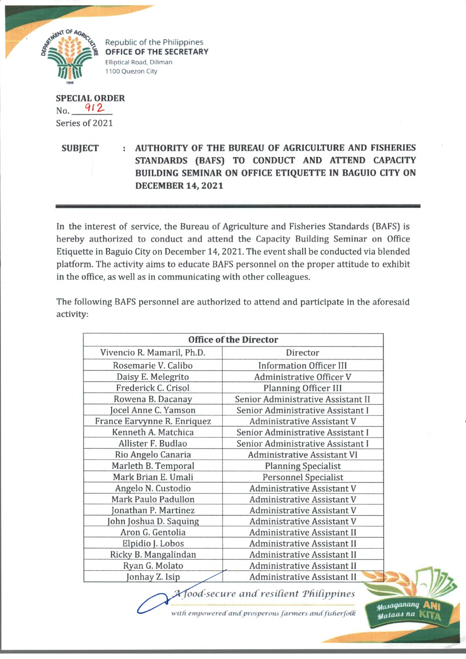

Republic of the Philippines **OFFICE OF THE SECRETARY** Elliptical Road, Diliman 1100 Quezon City

■ B B p p P " '

**SPECIAL ORDER** No. 912 Series of 2021

**SUBJECT : AUTHORITY OF THE BUREAU OF AGRICULTURE AND FISHERIES STANDARDS (BAFS) TO CONDUCT AND ATTEND CAPACITY BUILDING SEMINAR ON OFFICE ETIQUETTE IN BAGUIO CITY ON DECEMBER 14, 2021**

In the interest of service, the Bureau of Agriculture and Fisheries Standards (BAFS) is hereby authorized to conduct and attend the Capacity Building Seminar on Office Etiquette in Baguio City on December 14, 2021. The event shall be conducted via blended platform. The activity aims to educate BAFS personnel on the proper attitude to exhibit in the office, as well as in communicating with other colleagues.

The following BAFS personnel are authorized to attend and participate in the aforesaid activity:

| <b>Office of the Director</b> |                                    |
|-------------------------------|------------------------------------|
| Vivencio R. Mamaril, Ph.D.    | Director                           |
| Rosemarie V. Calibo           | <b>Information Officer III</b>     |
| Daisy E. Melegrito            | Administrative Officer V           |
| Frederick C. Crisol           | <b>Planning Officer III</b>        |
| Rowena B. Dacanay             | Senior Administrative Assistant II |
| Jocel Anne C. Yamson          | Senior Administrative Assistant I  |
| France Earvynne R. Enriquez   | <b>Administrative Assistant V</b>  |
| Kenneth A. Matchica           | Senior Administrative Assistant I  |
| Allister F. Budlao            | Senior Administrative Assistant I  |
| Rio Angelo Canaria            | <b>Administrative Assistant VI</b> |
| Marleth B. Temporal           | <b>Planning Specialist</b>         |
| Mark Brian E. Umali           | <b>Personnel Specialist</b>        |
| Angelo N. Custodio            | <b>Administrative Assistant V</b>  |
| Mark Paulo Padullon           | <b>Administrative Assistant V</b>  |
| onathan P. Martinez           | <b>Administrative Assistant V</b>  |
| John Joshua D. Saquing        | <b>Administrative Assistant V</b>  |
| Aron G. Gentolia              | <b>Administrative Assistant II</b> |
| Elpidio J. Lobos              | Administrative Assistant II        |
| Ricky B. Mangalindan          | <b>Administrative Assistant II</b> |
| Ryan G. Molato                | Administrative Assistant II        |
| Jonhay Z. Isip                | <b>Administrative Assistant II</b> |

*ood-sec u re a n d res ifien t Th H ippines*

with empowered and prosperous farmers and fisherfolk

*tfaAaqancuu)* A M i **Mataas na** |